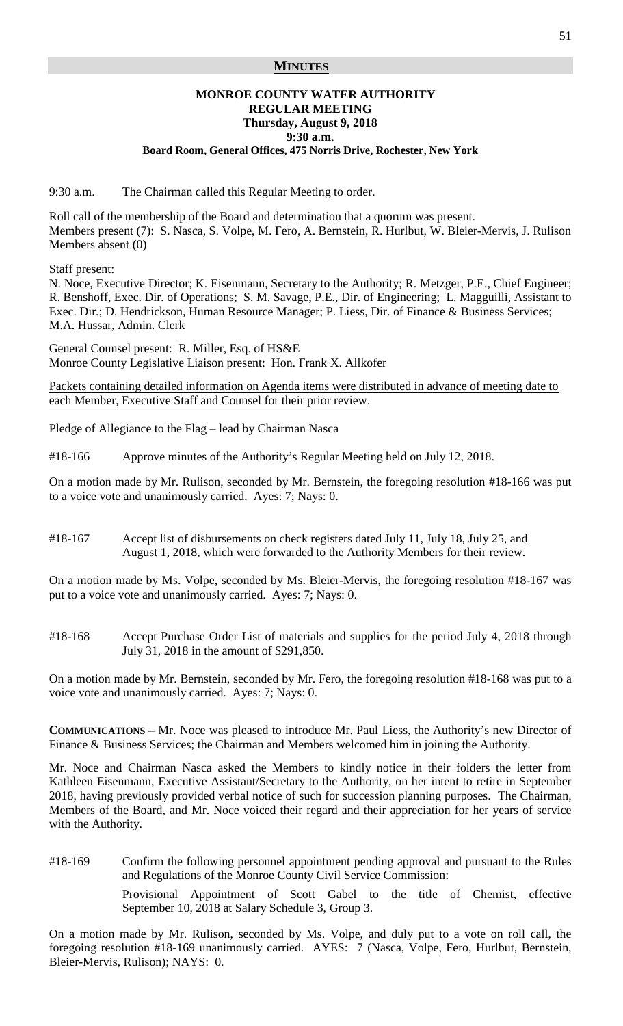# **MINUTES**

### **MONROE COUNTY WATER AUTHORITY REGULAR MEETING Thursday, August 9, 2018 9:30 a.m. Board Room, General Offices, 475 Norris Drive, Rochester, New York**

9:30 a.m. The Chairman called this Regular Meeting to order.

Roll call of the membership of the Board and determination that a quorum was present. Members present (7): S. Nasca, S. Volpe, M. Fero, A. Bernstein, R. Hurlbut, W. Bleier-Mervis, J. Rulison Members absent (0)

Staff present:

N. Noce, Executive Director; K. Eisenmann, Secretary to the Authority; R. Metzger, P.E., Chief Engineer; R. Benshoff, Exec. Dir. of Operations; S. M. Savage, P.E., Dir. of Engineering; L. Magguilli, Assistant to Exec. Dir.; D. Hendrickson, Human Resource Manager; P. Liess, Dir. of Finance & Business Services; M.A. Hussar, Admin. Clerk

General Counsel present: R. Miller, Esq. of HS&E Monroe County Legislative Liaison present: Hon. Frank X. Allkofer

Packets containing detailed information on Agenda items were distributed in advance of meeting date to each Member, Executive Staff and Counsel for their prior review.

Pledge of Allegiance to the Flag – lead by Chairman Nasca

#18-166 Approve minutes of the Authority's Regular Meeting held on July 12, 2018.

On a motion made by Mr. Rulison, seconded by Mr. Bernstein, the foregoing resolution #18-166 was put to a voice vote and unanimously carried. Ayes: 7; Nays: 0.

#18-167 Accept list of disbursements on check registers dated July 11, July 18, July 25, and August 1, 2018, which were forwarded to the Authority Members for their review.

On a motion made by Ms. Volpe, seconded by Ms. Bleier-Mervis, the foregoing resolution #18-167 was put to a voice vote and unanimously carried. Ayes: 7; Nays: 0.

#18-168 Accept Purchase Order List of materials and supplies for the period July 4, 2018 through July 31, 2018 in the amount of \$291,850.

On a motion made by Mr. Bernstein, seconded by Mr. Fero, the foregoing resolution #18-168 was put to a voice vote and unanimously carried. Ayes: 7; Nays: 0.

**COMMUNICATIONS –** Mr. Noce was pleased to introduce Mr. Paul Liess, the Authority's new Director of Finance & Business Services; the Chairman and Members welcomed him in joining the Authority.

Mr. Noce and Chairman Nasca asked the Members to kindly notice in their folders the letter from Kathleen Eisenmann, Executive Assistant/Secretary to the Authority, on her intent to retire in September 2018, having previously provided verbal notice of such for succession planning purposes. The Chairman, Members of the Board, and Mr. Noce voiced their regard and their appreciation for her years of service with the Authority.

#18-169 Confirm the following personnel appointment pending approval and pursuant to the Rules and Regulations of the Monroe County Civil Service Commission:

> Provisional Appointment of Scott Gabel to the title of Chemist, effective September 10, 2018 at Salary Schedule 3, Group 3.

On a motion made by Mr. Rulison, seconded by Ms. Volpe, and duly put to a vote on roll call, the foregoing resolution #18-169 unanimously carried. AYES: 7 (Nasca, Volpe, Fero, Hurlbut, Bernstein, Bleier-Mervis, Rulison); NAYS: 0.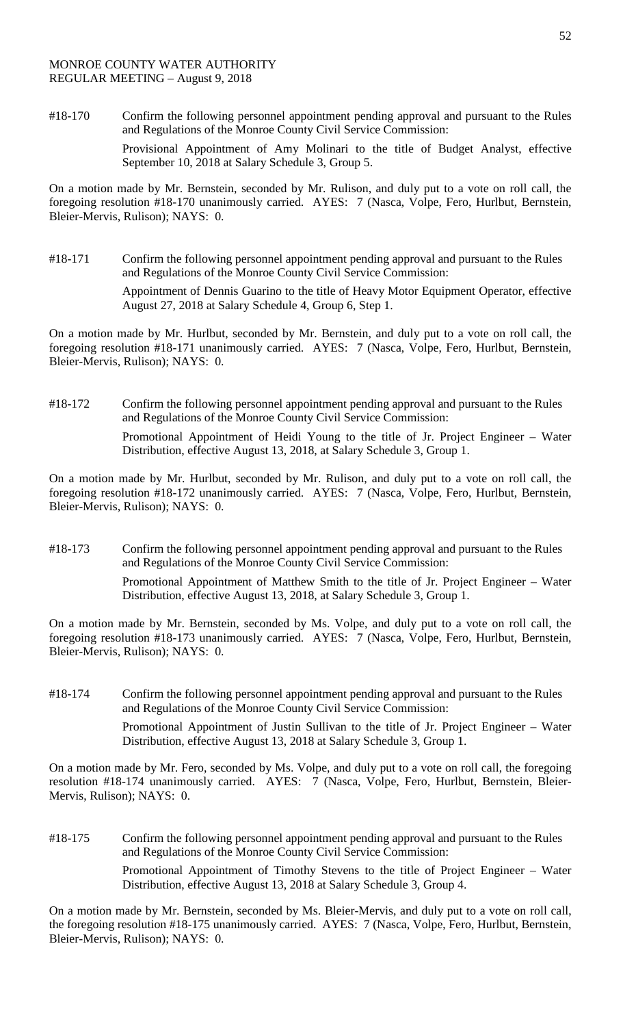#18-170 Confirm the following personnel appointment pending approval and pursuant to the Rules and Regulations of the Monroe County Civil Service Commission: Provisional Appointment of Amy Molinari to the title of Budget Analyst, effective September 10, 2018 at Salary Schedule 3, Group 5.

On a motion made by Mr. Bernstein, seconded by Mr. Rulison, and duly put to a vote on roll call, the foregoing resolution #18-170 unanimously carried. AYES: 7 (Nasca, Volpe, Fero, Hurlbut, Bernstein, Bleier-Mervis, Rulison); NAYS: 0.

#18-171 Confirm the following personnel appointment pending approval and pursuant to the Rules and Regulations of the Monroe County Civil Service Commission:

Appointment of Dennis Guarino to the title of Heavy Motor Equipment Operator, effective August 27, 2018 at Salary Schedule 4, Group 6, Step 1.

On a motion made by Mr. Hurlbut, seconded by Mr. Bernstein, and duly put to a vote on roll call, the foregoing resolution #18-171 unanimously carried. AYES: 7 (Nasca, Volpe, Fero, Hurlbut, Bernstein, Bleier-Mervis, Rulison); NAYS: 0.

#18-172 Confirm the following personnel appointment pending approval and pursuant to the Rules and Regulations of the Monroe County Civil Service Commission: Promotional Appointment of Heidi Young to the title of Jr. Project Engineer – Water Distribution, effective August 13, 2018, at Salary Schedule 3, Group 1.

On a motion made by Mr. Hurlbut, seconded by Mr. Rulison, and duly put to a vote on roll call, the foregoing resolution #18-172 unanimously carried. AYES: 7 (Nasca, Volpe, Fero, Hurlbut, Bernstein, Bleier-Mervis, Rulison); NAYS: 0.

#18-173 Confirm the following personnel appointment pending approval and pursuant to the Rules and Regulations of the Monroe County Civil Service Commission: Promotional Appointment of Matthew Smith to the title of Jr. Project Engineer – Water Distribution, effective August 13, 2018, at Salary Schedule 3, Group 1.

On a motion made by Mr. Bernstein, seconded by Ms. Volpe, and duly put to a vote on roll call, the foregoing resolution #18-173 unanimously carried. AYES: 7 (Nasca, Volpe, Fero, Hurlbut, Bernstein, Bleier-Mervis, Rulison); NAYS: 0.

#18-174 Confirm the following personnel appointment pending approval and pursuant to the Rules and Regulations of the Monroe County Civil Service Commission: Promotional Appointment of Justin Sullivan to the title of Jr. Project Engineer – Water Distribution, effective August 13, 2018 at Salary Schedule 3, Group 1.

On a motion made by Mr. Fero, seconded by Ms. Volpe, and duly put to a vote on roll call, the foregoing resolution #18-174 unanimously carried. AYES: 7 (Nasca, Volpe, Fero, Hurlbut, Bernstein, Bleier-Mervis, Rulison); NAYS: 0.

#18-175 Confirm the following personnel appointment pending approval and pursuant to the Rules and Regulations of the Monroe County Civil Service Commission: Promotional Appointment of Timothy Stevens to the title of Project Engineer – Water Distribution, effective August 13, 2018 at Salary Schedule 3, Group 4.

On a motion made by Mr. Bernstein, seconded by Ms. Bleier-Mervis, and duly put to a vote on roll call, the foregoing resolution #18-175 unanimously carried. AYES: 7 (Nasca, Volpe, Fero, Hurlbut, Bernstein, Bleier-Mervis, Rulison); NAYS: 0.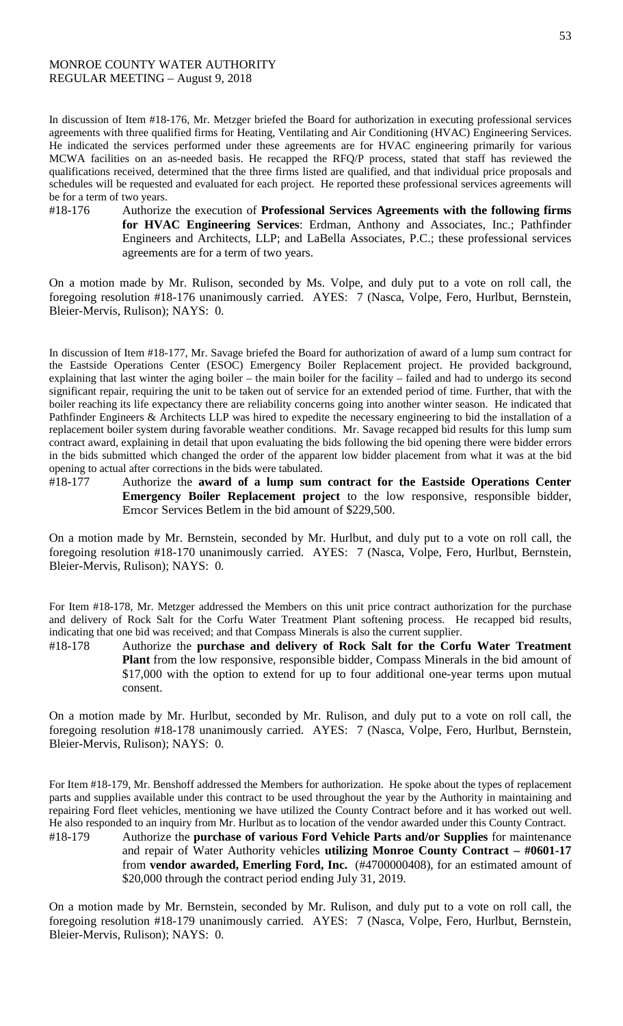#### MONROE COUNTY WATER AUTHORITY REGULAR MEETING – August 9, 2018

In discussion of Item #18-176, Mr. Metzger briefed the Board for authorization in executing professional services agreements with three qualified firms for Heating, Ventilating and Air Conditioning (HVAC) Engineering Services. He indicated the services performed under these agreements are for HVAC engineering primarily for various MCWA facilities on an as-needed basis. He recapped the RFQ/P process, stated that staff has reviewed the qualifications received, determined that the three firms listed are qualified, and that individual price proposals and schedules will be requested and evaluated for each project. He reported these professional services agreements will be for a term of two years.

#18-176 Authorize the execution of **Professional Services Agreements with the following firms for HVAC Engineering Services**: Erdman, Anthony and Associates, Inc.; Pathfinder Engineers and Architects, LLP; and LaBella Associates, P.C.; these professional services agreements are for a term of two years.

On a motion made by Mr. Rulison, seconded by Ms. Volpe, and duly put to a vote on roll call, the foregoing resolution #18-176 unanimously carried. AYES: 7 (Nasca, Volpe, Fero, Hurlbut, Bernstein, Bleier-Mervis, Rulison); NAYS: 0.

In discussion of Item #18-177, Mr. Savage briefed the Board for authorization of award of a lump sum contract for the Eastside Operations Center (ESOC) Emergency Boiler Replacement project. He provided background, explaining that last winter the aging boiler – the main boiler for the facility – failed and had to undergo its second significant repair, requiring the unit to be taken out of service for an extended period of time. Further, that with the boiler reaching its life expectancy there are reliability concerns going into another winter season. He indicated that Pathfinder Engineers & Architects LLP was hired to expedite the necessary engineering to bid the installation of a replacement boiler system during favorable weather conditions. Mr. Savage recapped bid results for this lump sum contract award, explaining in detail that upon evaluating the bids following the bid opening there were bidder errors in the bids submitted which changed the order of the apparent low bidder placement from what it was at the bid opening to actual after corrections in the bids were tabulated.

#18-177 Authorize the **award of a lump sum contract for the Eastside Operations Center Emergency Boiler Replacement project** to the low responsive, responsible bidder, Emcor Services Betlem in the bid amount of \$229,500.

On a motion made by Mr. Bernstein, seconded by Mr. Hurlbut, and duly put to a vote on roll call, the foregoing resolution #18-170 unanimously carried. AYES: 7 (Nasca, Volpe, Fero, Hurlbut, Bernstein, Bleier-Mervis, Rulison); NAYS: 0.

For Item #18-178, Mr. Metzger addressed the Members on this unit price contract authorization for the purchase and delivery of Rock Salt for the Corfu Water Treatment Plant softening process. He recapped bid results, indicating that one bid was received; and that Compass Minerals is also the current supplier.

#18-178 Authorize the **purchase and delivery of Rock Salt for the Corfu Water Treatment Plant** from the low responsive, responsible bidder, Compass Minerals in the bid amount of \$17,000 with the option to extend for up to four additional one-year terms upon mutual consent.

On a motion made by Mr. Hurlbut, seconded by Mr. Rulison, and duly put to a vote on roll call, the foregoing resolution #18-178 unanimously carried. AYES: 7 (Nasca, Volpe, Fero, Hurlbut, Bernstein, Bleier-Mervis, Rulison); NAYS: 0.

For Item #18-179, Mr. Benshoff addressed the Members for authorization. He spoke about the types of replacement parts and supplies available under this contract to be used throughout the year by the Authority in maintaining and repairing Ford fleet vehicles, mentioning we have utilized the County Contract before and it has worked out well. He also responded to an inquiry from Mr. Hurlbut as to location of the vendor awarded under this County Contract.

#18-179 Authorize the **purchase of various Ford Vehicle Parts and/or Supplies** for maintenance and repair of Water Authority vehicles **utilizing Monroe County Contract – #0601-17** from **vendor awarded, Emerling Ford, Inc.** (#4700000408), for an estimated amount of \$20,000 through the contract period ending July 31, 2019.

On a motion made by Mr. Bernstein, seconded by Mr. Rulison, and duly put to a vote on roll call, the foregoing resolution #18-179 unanimously carried. AYES: 7 (Nasca, Volpe, Fero, Hurlbut, Bernstein, Bleier-Mervis, Rulison); NAYS: 0.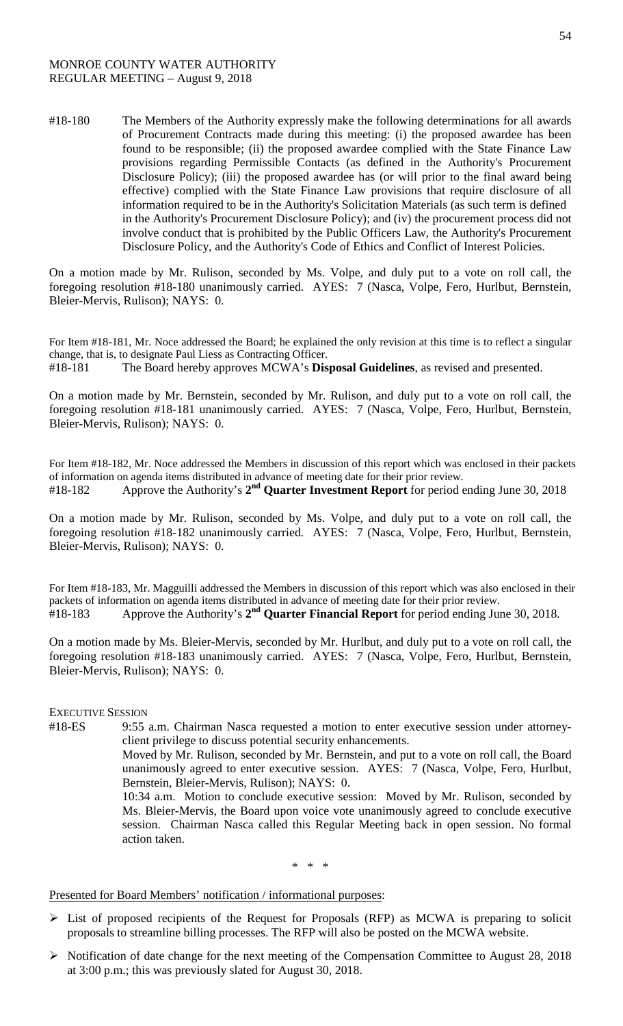#18-180 The Members of the Authority expressly make the following determinations for all awards of Procurement Contracts made during this meeting: (i) the proposed awardee has been found to be responsible; (ii) the proposed awardee complied with the State Finance Law provisions regarding Permissible Contacts (as defined in the Authority's Procurement Disclosure Policy); (iii) the proposed awardee has (or will prior to the final award being effective) complied with the State Finance Law provisions that require disclosure of all information required to be in the Authority's Solicitation Materials (as such term is defined in the Authority's Procurement Disclosure Policy); and (iv) the procurement process did not involve conduct that is prohibited by the Public Officers Law, the Authority's Procurement Disclosure Policy, and the Authority's Code of Ethics and Conflict of Interest Policies.

On a motion made by Mr. Rulison, seconded by Ms. Volpe, and duly put to a vote on roll call, the foregoing resolution #18-180 unanimously carried. AYES: 7 (Nasca, Volpe, Fero, Hurlbut, Bernstein, Bleier-Mervis, Rulison); NAYS: 0.

For Item #18-181, Mr. Noce addressed the Board; he explained the only revision at this time is to reflect a singular change, that is, to designate Paul Liess as Contracting Officer. #18-181 The Board hereby approves MCWA's **Disposal Guidelines**, as revised and presented.

On a motion made by Mr. Bernstein, seconded by Mr. Rulison, and duly put to a vote on roll call, the foregoing resolution #18-181 unanimously carried. AYES: 7 (Nasca, Volpe, Fero, Hurlbut, Bernstein, Bleier-Mervis, Rulison); NAYS: 0.

For Item #18-182, Mr. Noce addressed the Members in discussion of this report which was enclosed in their packets of information on agenda items distributed in advance of meeting date for their prior review. #18-182 Approve the Authority's **2nd Quarter Investment Report** for period ending June 30, 2018

On a motion made by Mr. Rulison, seconded by Ms. Volpe, and duly put to a vote on roll call, the foregoing resolution #18-182 unanimously carried. AYES: 7 (Nasca, Volpe, Fero, Hurlbut, Bernstein, Bleier-Mervis, Rulison); NAYS: 0.

For Item #18-183, Mr. Magguilli addressed the Members in discussion of this report which was also enclosed in their packets of information on agenda items distributed in advance of meeting date for their prior review. #18-183 Approve the Authority's **2nd Quarter Financial Report** for period ending June 30, 2018.

On a motion made by Ms. Bleier-Mervis, seconded by Mr. Hurlbut, and duly put to a vote on roll call, the foregoing resolution #18-183 unanimously carried. AYES: 7 (Nasca, Volpe, Fero, Hurlbut, Bernstein, Bleier-Mervis, Rulison); NAYS: 0.

# EXECUTIVE SESSION

#18-ES 9:55 a.m. Chairman Nasca requested a motion to enter executive session under attorneyclient privilege to discuss potential security enhancements.

> Moved by Mr. Rulison, seconded by Mr. Bernstein, and put to a vote on roll call, the Board unanimously agreed to enter executive session. AYES: 7 (Nasca, Volpe, Fero, Hurlbut, Bernstein, Bleier-Mervis, Rulison); NAYS: 0.

> 10:34 a.m. Motion to conclude executive session: Moved by Mr. Rulison, seconded by Ms. Bleier-Mervis, the Board upon voice vote unanimously agreed to conclude executive session. Chairman Nasca called this Regular Meeting back in open session. No formal action taken.

> > \* \* \*

### Presented for Board Members' notification / informational purposes:

- $\triangleright$  List of proposed recipients of the Request for Proposals (RFP) as MCWA is preparing to solicit proposals to streamline billing processes. The RFP will also be posted on the MCWA website.
- $\triangleright$  Notification of date change for the next meeting of the Compensation Committee to August 28, 2018 at 3:00 p.m.; this was previously slated for August 30, 2018.